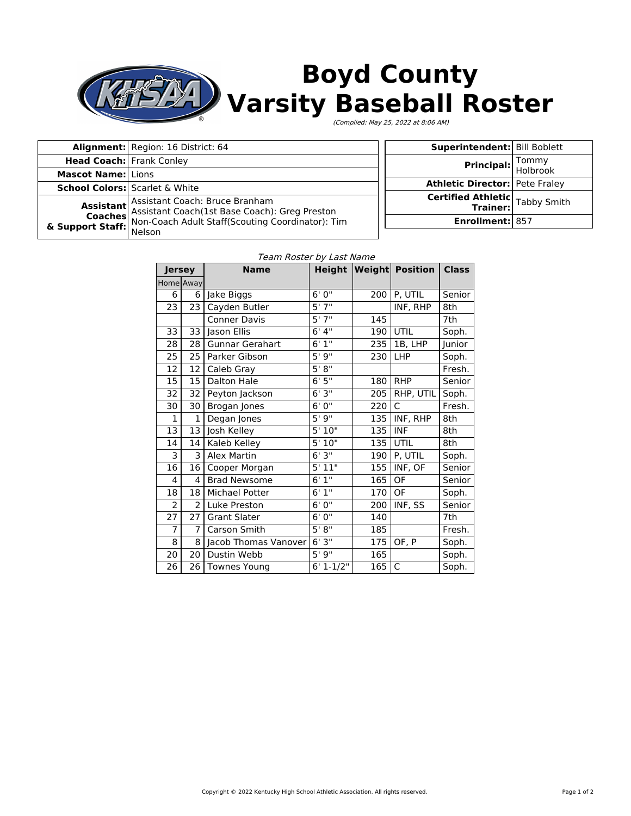

# **Boyd County Varsity Baseball Roster**

(Complied: May 25, 2022 at 8:06 AM)

|                                                                                                                                                                                                                 | Alignment: Region: 16 District: 64 |  | Superintendent: Bill Boblett          |                                       |
|-----------------------------------------------------------------------------------------------------------------------------------------------------------------------------------------------------------------|------------------------------------|--|---------------------------------------|---------------------------------------|
| <b>Head Coach:</b> Frank Conley                                                                                                                                                                                 |                                    |  | <b>Principal:</b> Tommy<br>Holbrook   |                                       |
| <b>Mascot Name: Lions</b>                                                                                                                                                                                       |                                    |  |                                       |                                       |
| <b>School Colors:</b> Scarlet & White<br>Assistant Assistant Coach: Bruce Branham<br>Coaches Assistant Coach(1st Base Coach): Greg Preston<br>& Support Staff: Non-Coach Adult Staff(Scouting Coordinator): Tim |                                    |  | <b>Athletic Director:</b> Pete Fraley |                                       |
|                                                                                                                                                                                                                 |                                    |  |                                       |                                       |
|                                                                                                                                                                                                                 |                                    |  |                                       | <b>Certified Athletic</b> Tabby Smith |
|                                                                                                                                                                                                                 |                                    |  |                                       |                                       |
|                                                                                                                                                                                                                 |                                    |  | <b>Enrollment: 857</b>                |                                       |
|                                                                                                                                                                                                                 | Nelson                             |  |                                       |                                       |

| Team Roster by Last Name |                |                        |               |     |                               |              |  |
|--------------------------|----------------|------------------------|---------------|-----|-------------------------------|--------------|--|
| <b>Jersey</b>            |                | <b>Name</b>            |               |     | <b>Height Weight Position</b> | <b>Class</b> |  |
|                          | Home Away      |                        |               |     |                               |              |  |
| 6                        |                | 6 Jake Biggs           | 6'0''         | 200 | P, UTIL                       | Senior       |  |
| 23                       | 23             | Cayden Butler          | 5'7''         |     | INF, RHP                      | 8th          |  |
|                          |                | <b>Conner Davis</b>    | 5'7''         | 145 |                               | 7th          |  |
| 33                       | 33             | Jason Ellis            | 6'4''         | 190 | UTIL                          | Soph.        |  |
| 28                       | 28             | <b>Gunnar Gerahart</b> | 6'1''         | 235 | 1B, LHP                       | Junior       |  |
| $\overline{25}$          | 25             | Parker Gibson          | 5'9''         | 230 | <b>LHP</b>                    | Soph.        |  |
| 12                       | 12             | Caleb Gray             | 5'8''         |     |                               | Fresh.       |  |
| $\overline{15}$          | 15             | Dalton Hale            | 6'5''         | 180 | <b>RHP</b>                    | Senior       |  |
| 32                       | 32             | Peyton Jackson         | 6'3''         | 205 | RHP, UTIL                     | Soph.        |  |
| 30                       | 30             | Brogan Jones           | 6'0''         | 220 | $\mathsf{C}$                  | Fresh.       |  |
| $\mathbf{1}$             | 1              | Degan Jones            | 5'9''         | 135 | INF, RHP                      | 8th          |  |
| 13                       | 13             | Josh Kelley            | 5'10"         | 135 | <b>INF</b>                    | 8th          |  |
| 14                       | 14             | Kaleb Kelley           | 5'10"         | 135 | UTIL                          | 8th          |  |
| 3                        | 3              | Alex Martin            | 6'3''         | 190 | P, UTIL                       | Soph.        |  |
| 16                       | 16             | Cooper Morgan          | 5'11"         | 155 | INF, OF                       | Senior       |  |
| 4                        | 4              | <b>Brad Newsome</b>    | 6'1''         | 165 | OF                            | Senior       |  |
| 18                       | 18             | <b>Michael Potter</b>  | 6'1''         | 170 | OF                            | Soph.        |  |
| $\overline{2}$           | $\overline{2}$ | Luke Preston           | 6'0''         | 200 | INF, SS                       | Senior       |  |
| $\overline{27}$          | 27             | <b>Grant Slater</b>    | 6'0''         | 140 |                               | 7th          |  |
| $\overline{7}$           | 7              | Carson Smith           | 5' 8''        | 185 |                               | Fresh.       |  |
| 8                        | 8              | Jacob Thomas Vanover   | 6'3''         | 175 | OF, P                         | Soph.        |  |
| 20                       | 20             | Dustin Webb            | 5'9''         | 165 |                               | Soph.        |  |
| 26                       |                | 26   Townes Young      | $6' 1 - 1/2"$ | 165 | C                             | Soph.        |  |